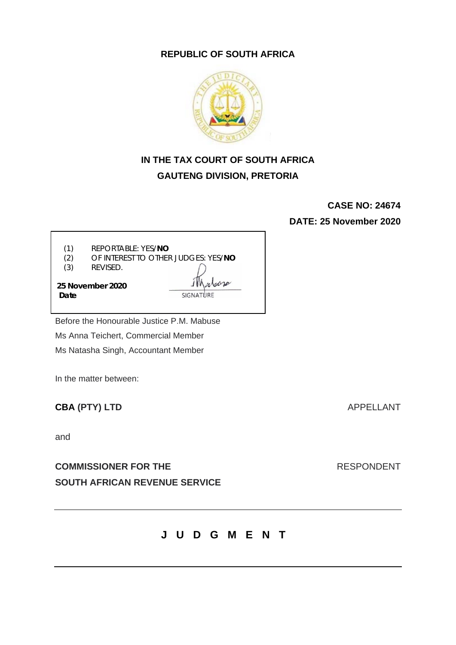### **REPUBLIC OF SOUTH AFRICA**



# **IN THE TAX COURT OF SOUTH AFRICA GAUTENG DIVISION, PRETORIA**

**CASE NO: 24674**

**DATE: 25 November 2020**

(1) REPORTABLE: YES/**NO**

(2) OF INTEREST TO OTHER JUDGES: YES/**NO**

(3) REVISED.

**25 November 2020 Date**

Before the Honourable Justice P.M. Mabuse Ms Anna Teichert, Commercial Member Ms Natasha Singh, Accountant Member

In the matter between:

# **CBA (PTY) LTD** APPELLANT

and

**COMMISSIONER FOR THE SEXUAL RESPONDENT SOUTH AFRICAN REVENUE SERVICE**

**JUDGMENT**

Johne SIGNATURE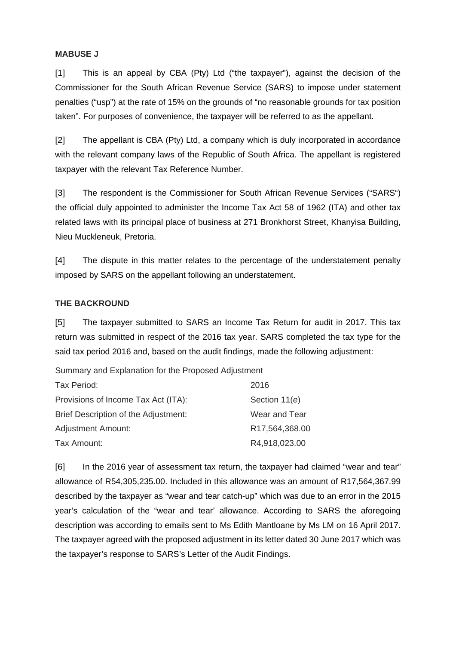#### **MABUSE J**

[1] This is an appeal by CBA (Pty) Ltd ("the taxpayer"), against the decision of the Commissioner for the South African Revenue Service (SARS) to impose under statement penalties ("usp") at the rate of 15% on the grounds of "no reasonable grounds for tax position taken". For purposes of convenience, the taxpayer will be referred to as the appellant.

[2] The appellant is CBA (Pty) Ltd, a company which is duly incorporated in accordance with the relevant company laws of the Republic of South Africa. The appellant is registered taxpayer with the relevant Tax Reference Number.

[3] The respondent is the Commissioner for South African Revenue Services ("SARS") the official duly appointed to administer the Income Tax Act 58 of 1962 (ITA) and other tax related laws with its principal place of business at 271 Bronkhorst Street, Khanyisa Building, Nieu Muckleneuk, Pretoria.

[4] The dispute in this matter relates to the percentage of the understatement penalty imposed by SARS on the appellant following an understatement.

#### **THE BACKROUND**

[5] The taxpayer submitted to SARS an Income Tax Return for audit in 2017. This tax return was submitted in respect of the 2016 tax year. SARS completed the tax type for the said tax period 2016 and, based on the audit findings, made the following adjustment:

Summary and Explanation for the Proposed Adjustment

| Tax Period:                          | 2016           |
|--------------------------------------|----------------|
| Provisions of Income Tax Act (ITA):  | Section 11(e)  |
| Brief Description of the Adjustment: | Wear and Tear  |
| <b>Adjustment Amount:</b>            | R17,564,368.00 |
| Tax Amount:                          | R4,918,023.00  |

[6] In the 2016 year of assessment tax return, the taxpayer had claimed "wear and tear" allowance of R54,305,235.00. Included in this allowance was an amount of R17,564,367.99 described by the taxpayer as "wear and tear catch-up" which was due to an error in the 2015 year's calculation of the "wear and tear' allowance. According to SARS the aforegoing description was according to emails sent to Ms Edith Mantloane by Ms LM on 16 April 2017. The taxpayer agreed with the proposed adjustment in its letter dated 30 June 2017 which was the taxpayer's response to SARS's Letter of the Audit Findings.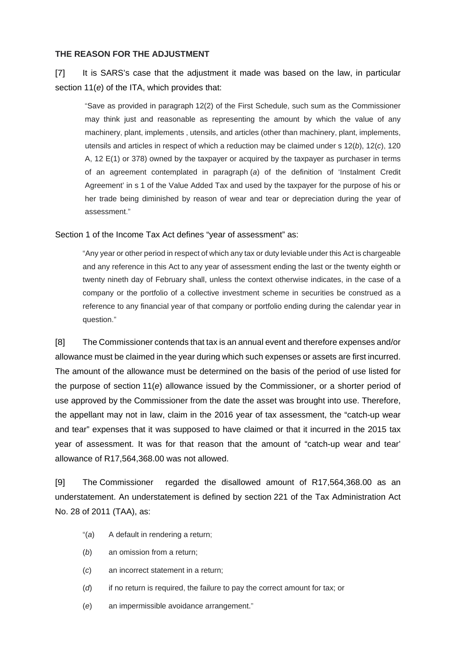#### **THE REASON FOR THE ADJUSTMENT**

## [7] It is SARS's case that the adjustment it made was based on the law, in particular section 11(*e*) of the ITA, which provides that:

"Save as provided in paragraph 12(2) of the First Schedule, such sum as the Commissioner may think just and reasonable as representing the amount by which the value of any machinery, plant, implements , utensils, and articles (other than machinery, plant, implements, utensils and articles in respect of which a reduction may be claimed under s 12(*b*), 12(*c*), 120 A, 12 E(1) or 378) owned by the taxpayer or acquired by the taxpayer as purchaser in terms of an agreement contemplated in paragraph (*a*) of the definition of 'Instalment Credit Agreement' in s 1 of the Value Added Tax and used by the taxpayer for the purpose of his or her trade being diminished by reason of wear and tear or depreciation during the year of assessment."

Section 1 of the Income Tax Act defines "year of assessment" as:

"Any year or other period in respect of which any tax or duty leviable under this Act is chargeable and any reference in this Act to any year of assessment ending the last or the twenty eighth or twenty nineth day of February shall, unless the context otherwise indicates, in the case of a company or the portfolio of a collective investment scheme in securities be construed as a reference to any financial year of that company or portfolio ending during the calendar year in question."

[8] The Commissioner contends that tax is an annual event and therefore expenses and/or allowance must be claimed in the year during which such expenses or assets are first incurred. The amount of the allowance must be determined on the basis of the period of use listed for the purpose of section 11(*e*) allowance issued by the Commissioner, or a shorter period of use approved by the Commissioner from the date the asset was brought into use. Therefore, the appellant may not in law, claim in the 2016 year of tax assessment, the "catch-up wear and tear" expenses that it was supposed to have claimed or that it incurred in the 2015 tax year of assessment. It was for that reason that the amount of "catch-up wear and tear' allowance of R17,564,368.00 was not allowed.

[9] The Commissioner regarded the disallowed amount of R17,564,368.00 as an understatement. An understatement is defined by section 221 of the Tax Administration Act No. 28 of 2011 (TAA), as:

- "(*a*) A default in rendering a return;
- (*b*) an omission from a return;
- (*c*) an incorrect statement in a return;
- (*d*) if no return is required, the failure to pay the correct amount for tax; or
- (*e*) an impermissible avoidance arrangement."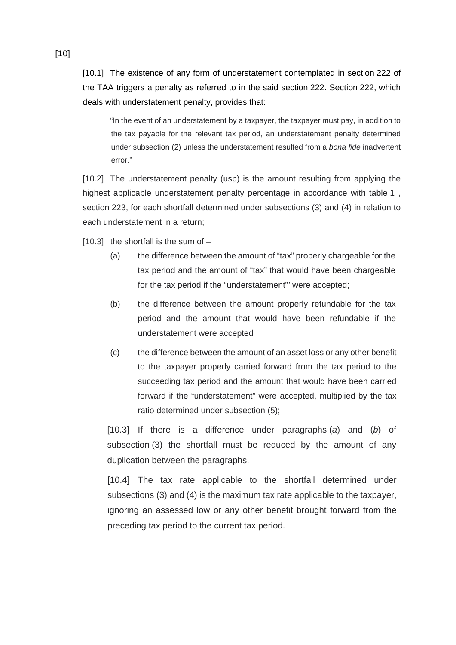[10.1] The existence of any form of understatement contemplated in section 222 of the TAA triggers a penalty as referred to in the said section 222. Section 222, which deals with understatement penalty, provides that:

"In the event of an understatement by a taxpayer, the taxpayer must pay, in addition to the tax payable for the relevant tax period, an understatement penalty determined under subsection (2) unless the understatement resulted from a *bona fide* inadvertent error."

[10.2] The understatement penalty (usp) is the amount resulting from applying the highest applicable understatement penalty percentage in accordance with table 1 , section 223, for each shortfall determined under subsections (3) and (4) in relation to each understatement in a return;

 $[10.3]$  the shortfall is the sum of  $-$ 

- (a) the difference between the amount of "tax" properly chargeable for the tax period and the amount of "tax" that would have been chargeable for the tax period if the "understatement"*'* were accepted;
- (b) the difference between the amount properly refundable for the tax period and the amount that would have been refundable if the understatement were accepted ;
- (c) the difference between the amount of an asset loss or any other benefit to the taxpayer properly carried forward from the tax period to the succeeding tax period and the amount that would have been carried forward if the "understatement" were accepted, multiplied by the tax ratio determined under subsection (5);

[10.3] If there is a difference under paragraphs (*a*) and (*b*) of subsection (3) the shortfall must be reduced by the amount of any duplication between the paragraphs.

[10.4] The tax rate applicable to the shortfall determined under subsections (3) and (4) is the maximum tax rate applicable to the taxpayer, ignoring an assessed low or any other benefit brought forward from the preceding tax period to the current tax period.

[10]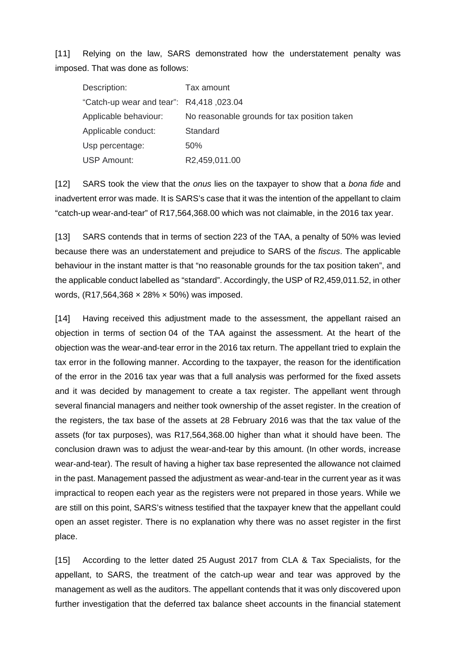[11] Relying on the law, SARS demonstrated how the understatement penalty was imposed. That was done as follows:

| Description:                            | Tax amount                                   |
|-----------------------------------------|----------------------------------------------|
| "Catch-up wear and tear": R4,418,023.04 |                                              |
| Applicable behaviour:                   | No reasonable grounds for tax position taken |
| Applicable conduct:                     | Standard                                     |
| Usp percentage:                         | 50%                                          |
| <b>USP Amount:</b>                      | R2,459,011.00                                |

[12] SARS took the view that the *onus* lies on the taxpayer to show that a *bona fide* and inadvertent error was made. It is SARS's case that it was the intention of the appellant to claim "catch-up wear-and-tear" of R17,564,368.00 which was not claimable, in the 2016 tax year.

[13] SARS contends that in terms of section 223 of the TAA, a penalty of 50% was levied because there was an understatement and prejudice to SARS of the *fiscus*. The applicable behaviour in the instant matter is that "no reasonable grounds for the tax position taken", and the applicable conduct labelled as "standard". Accordingly, the USP of R2,459,011.52, in other words, (R17,564,368 × 28% × 50%) was imposed.

[14] Having received this adjustment made to the assessment, the appellant raised an objection in terms of section 04 of the TAA against the assessment. At the heart of the objection was the wear-and-tear error in the 2016 tax return. The appellant tried to explain the tax error in the following manner. According to the taxpayer, the reason for the identification of the error in the 2016 tax year was that a full analysis was performed for the fixed assets and it was decided by management to create a tax register. The appellant went through several financial managers and neither took ownership of the asset register. In the creation of the registers, the tax base of the assets at 28 February 2016 was that the tax value of the assets (for tax purposes), was R17,564,368.00 higher than what it should have been. The conclusion drawn was to adjust the wear-and-tear by this amount. (In other words, increase wear-and-tear). The result of having a higher tax base represented the allowance not claimed in the past. Management passed the adjustment as wear-and-tear in the current year as it was impractical to reopen each year as the registers were not prepared in those years. While we are still on this point, SARS's witness testified that the taxpayer knew that the appellant could open an asset register. There is no explanation why there was no asset register in the first place.

[15] According to the letter dated 25 August 2017 from CLA & Tax Specialists, for the appellant, to SARS, the treatment of the catch-up wear and tear was approved by the management as well as the auditors. The appellant contends that it was only discovered upon further investigation that the deferred tax balance sheet accounts in the financial statement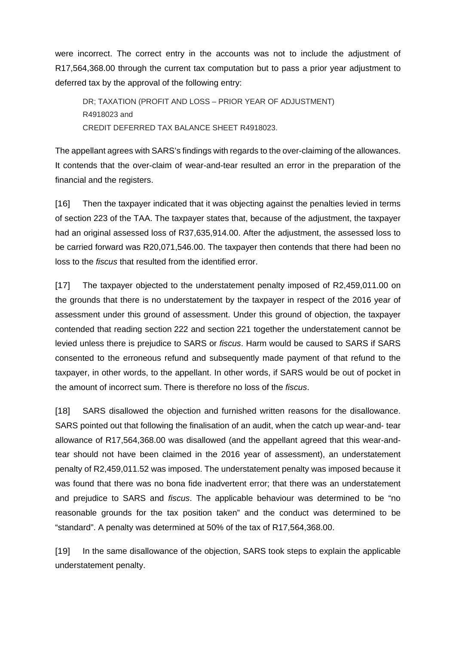were incorrect. The correct entry in the accounts was not to include the adjustment of R17,564,368.00 through the current tax computation but to pass a prior year adjustment to deferred tax by the approval of the following entry:

DR; TAXATION (PROFIT AND LOSS – PRIOR YEAR OF ADJUSTMENT) R4918023 and CREDIT DEFERRED TAX BALANCE SHEET R4918023.

The appellant agrees with SARS's findings with regards to the over-claiming of the allowances. It contends that the over-claim of wear-and-tear resulted an error in the preparation of the financial and the registers.

[16] Then the taxpayer indicated that it was objecting against the penalties levied in terms of section 223 of the TAA. The taxpayer states that, because of the adjustment, the taxpayer had an original assessed loss of R37,635,914.00. After the adjustment, the assessed loss to be carried forward was R20,071,546.00. The taxpayer then contends that there had been no loss to the *fiscus* that resulted from the identified error.

[17] The taxpayer objected to the understatement penalty imposed of R2,459,011.00 on the grounds that there is no understatement by the taxpayer in respect of the 2016 year of assessment under this ground of assessment. Under this ground of objection, the taxpayer contended that reading section 222 and section 221 together the understatement cannot be levied unless there is prejudice to SARS or *fiscus*. Harm would be caused to SARS if SARS consented to the erroneous refund and subsequently made payment of that refund to the taxpayer, in other words, to the appellant. In other words, if SARS would be out of pocket in the amount of incorrect sum. There is therefore no loss of the *fiscus*.

[18] SARS disallowed the objection and furnished written reasons for the disallowance. SARS pointed out that following the finalisation of an audit, when the catch up wear-and- tear allowance of R17,564,368.00 was disallowed (and the appellant agreed that this wear-andtear should not have been claimed in the 2016 year of assessment), an understatement penalty of R2,459,011.52 was imposed. The understatement penalty was imposed because it was found that there was no bona fide inadvertent error; that there was an understatement and prejudice to SARS and *fiscus*. The applicable behaviour was determined to be "no reasonable grounds for the tax position taken" and the conduct was determined to be "standard". A penalty was determined at 50% of the tax of R17,564,368.00.

[19] In the same disallowance of the objection, SARS took steps to explain the applicable understatement penalty.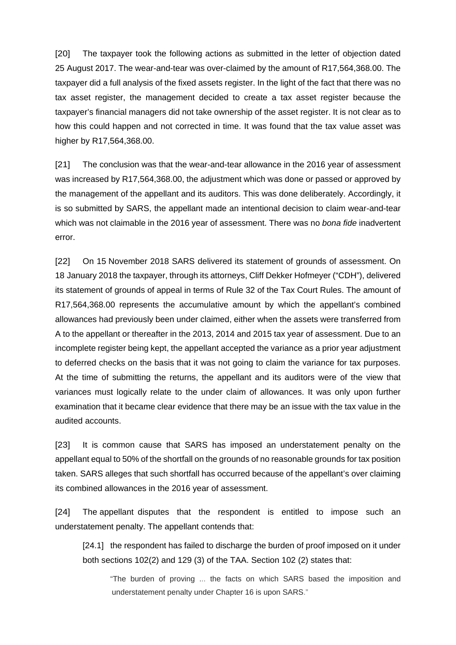[20] The taxpayer took the following actions as submitted in the letter of objection dated 25 August 2017. The wear-and-tear was over-claimed by the amount of R17,564,368.00. The taxpayer did a full analysis of the fixed assets register. In the light of the fact that there was no tax asset register, the management decided to create a tax asset register because the taxpayer's financial managers did not take ownership of the asset register. It is not clear as to how this could happen and not corrected in time. It was found that the tax value asset was higher by R17,564,368.00.

[21] The conclusion was that the wear-and-tear allowance in the 2016 year of assessment was increased by R17,564,368.00, the adjustment which was done or passed or approved by the management of the appellant and its auditors. This was done deliberately. Accordingly, it is so submitted by SARS, the appellant made an intentional decision to claim wear-and-tear which was not claimable in the 2016 year of assessment. There was no *bona fide* inadvertent error.

[22] On 15 November 2018 SARS delivered its statement of grounds of assessment. On 18 January 2018 the taxpayer, through its attorneys, Cliff Dekker Hofmeyer ("CDH"), delivered its statement of grounds of appeal in terms of Rule 32 of the Tax Court Rules. The amount of R17,564,368.00 represents the accumulative amount by which the appellant's combined allowances had previously been under claimed, either when the assets were transferred from A to the appellant or thereafter in the 2013, 2014 and 2015 tax year of assessment. Due to an incomplete register being kept, the appellant accepted the variance as a prior year adjustment to deferred checks on the basis that it was not going to claim the variance for tax purposes. At the time of submitting the returns, the appellant and its auditors were of the view that variances must logically relate to the under claim of allowances. It was only upon further examination that it became clear evidence that there may be an issue with the tax value in the audited accounts.

[23] It is common cause that SARS has imposed an understatement penalty on the appellant equal to 50% of the shortfall on the grounds of no reasonable grounds for tax position taken. SARS alleges that such shortfall has occurred because of the appellant's over claiming its combined allowances in the 2016 year of assessment.

[24] The appellant disputes that the respondent is entitled to impose such an understatement penalty. The appellant contends that:

[24.1] the respondent has failed to discharge the burden of proof imposed on it under both sections 102(2) and 129 (3) of the TAA. Section 102 (2) states that:

"The burden of proving ... the facts on which SARS based the imposition and understatement penalty under Chapter 16 is upon SARS."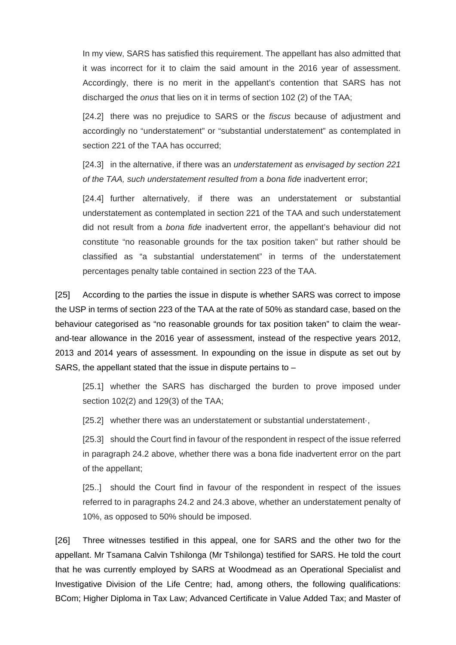In my view, SARS has satisfied this requirement. The appellant has also admitted that it was incorrect for it to claim the said amount in the 2016 year of assessment. Accordingly, there is no merit in the appellant's contention that SARS has not discharged the *onus* that lies on it in terms of section 102 (2) of the TAA;

[24.2] there was no prejudice to SARS or the *fiscus* because of adjustment and accordingly no "understatement" or "substantial understatement" as contemplated in section 221 of the TAA has occurred;

[24.3] in the alternative, if there was an *understatement* as *envisaged by section 221 of the TAA, such understatement resulted from* a *bona fide* inadvertent error;

[24.4] further alternatively, if there was an understatement or substantial understatement as contemplated in section 221 of the TAA and such understatement did not result from a *bona fide* inadvertent error, the appellant's behaviour did not constitute "no reasonable grounds for the tax position taken" but rather should be classified as "a substantial understatement" in terms of the understatement percentages penalty table contained in section 223 of the TAA.

[25] According to the parties the issue in dispute is whether SARS was correct to impose the USP in terms of section 223 of the TAA at the rate of 50% as standard case, based on the behaviour categorised as "no reasonable grounds for tax position taken" to claim the wearand-tear allowance in the 2016 year of assessment, instead of the respective years 2012, 2013 and 2014 years of assessment. In expounding on the issue in dispute as set out by SARS, the appellant stated that the issue in dispute pertains to –

[25.1] whether the SARS has discharged the burden to prove imposed under section 102(2) and 129(3) of the TAA;

[25.2] whether there was an understatement or substantial understatement·,

[25.3] should the Court find in favour of the respondent in respect of the issue referred in paragraph 24.2 above, whether there was a bona fide inadvertent error on the part of the appellant;

[25..] should the Court find in favour of the respondent in respect of the issues referred to in paragraphs 24.2 and 24.3 above, whether an understatement penalty of 10%, as opposed to 50% should be imposed.

[26] Three witnesses testified in this appeal, one for SARS and the other two for the appellant. Mr Tsamana Calvin Tshilonga (Mr Tshilonga) testified for SARS. He told the court that he was currently employed by SARS at Woodmead as an Operational Specialist and Investigative Division of the Life Centre; had, among others, the following qualifications: BCom; Higher Diploma in Tax Law; Advanced Certificate in Value Added Tax; and Master of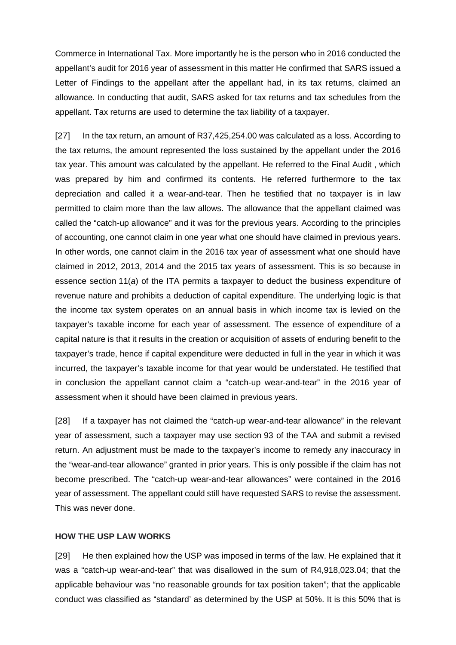Commerce in International Tax. More importantly he is the person who in 2016 conducted the appellant's audit for 2016 year of assessment in this matter He confirmed that SARS issued a Letter of Findings to the appellant after the appellant had, in its tax returns, claimed an allowance. In conducting that audit, SARS asked for tax returns and tax schedules from the appellant. Tax returns are used to determine the tax liability of a taxpayer.

[27] In the tax return, an amount of R37,425,254.00 was calculated as a loss. According to the tax returns, the amount represented the loss sustained by the appellant under the 2016 tax year. This amount was calculated by the appellant. He referred to the Final Audit , which was prepared by him and confirmed its contents. He referred furthermore to the tax depreciation and called it a wear-and-tear. Then he testified that no taxpayer is in law permitted to claim more than the law allows. The allowance that the appellant claimed was called the "catch-up allowance" and it was for the previous years. According to the principles of accounting, one cannot claim in one year what one should have claimed in previous years. In other words, one cannot claim in the 2016 tax year of assessment what one should have claimed in 2012, 2013, 2014 and the 2015 tax years of assessment. This is so because in essence section 11(*a*) of the ITA permits a taxpayer to deduct the business expenditure of revenue nature and prohibits a deduction of capital expenditure. The underlying logic is that the income tax system operates on an annual basis in which income tax is levied on the taxpayer's taxable income for each year of assessment. The essence of expenditure of a capital nature is that it results in the creation or acquisition of assets of enduring benefit to the taxpayer's trade, hence if capital expenditure were deducted in full in the year in which it was incurred, the taxpayer's taxable income for that year would be understated. He testified that in conclusion the appellant cannot claim a "catch-up wear-and-tear" in the 2016 year of assessment when it should have been claimed in previous years.

[28] If a taxpayer has not claimed the "catch-up wear-and-tear allowance" in the relevant year of assessment, such a taxpayer may use section 93 of the TAA and submit a revised return. An adjustment must be made to the taxpayer's income to remedy any inaccuracy in the "wear-and-tear allowance" granted in prior years. This is only possible if the claim has not become prescribed. The "catch-up wear-and-tear allowances" were contained in the 2016 year of assessment. The appellant could still have requested SARS to revise the assessment. This was never done.

#### **HOW THE USP LAW WORKS**

[29] He then explained how the USP was imposed in terms of the law. He explained that it was a "catch-up wear-and-tear" that was disallowed in the sum of R4,918,023.04; that the applicable behaviour was "no reasonable grounds for tax position taken"; that the applicable conduct was classified as "standard' as determined by the USP at 50%. It is this 50% that is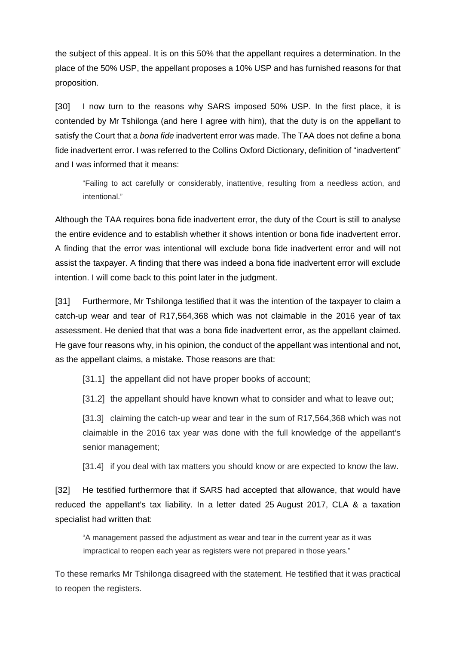the subject of this appeal. It is on this 50% that the appellant requires a determination. In the place of the 50% USP, the appellant proposes a 10% USP and has furnished reasons for that proposition.

[30] I now turn to the reasons why SARS imposed 50% USP. In the first place, it is contended by Mr Tshilonga (and here I agree with him), that the duty is on the appellant to satisfy the Court that a *bona fide* inadvertent error was made. The TAA does not define a bona fide inadvertent error. I was referred to the Collins Oxford Dictionary, definition of "inadvertent" and I was informed that it means:

"Failing to act carefully or considerably, inattentive, resulting from a needless action, and intentional."

Although the TAA requires bona fide inadvertent error, the duty of the Court is still to analyse the entire evidence and to establish whether it shows intention or bona fide inadvertent error. A finding that the error was intentional will exclude bona fide inadvertent error and will not assist the taxpayer. A finding that there was indeed a bona fide inadvertent error will exclude intention. I will come back to this point later in the judgment.

[31] Furthermore, Mr Tshilonga testified that it was the intention of the taxpayer to claim a catch-up wear and tear of R17,564,368 which was not claimable in the 2016 year of tax assessment. He denied that that was a bona fide inadvertent error, as the appellant claimed. He gave four reasons why, in his opinion, the conduct of the appellant was intentional and not, as the appellant claims, a mistake. Those reasons are that:

[31.1] the appellant did not have proper books of account;

[31.2] the appellant should have known what to consider and what to leave out;

[31.3] claiming the catch-up wear and tear in the sum of R17,564,368 which was not claimable in the 2016 tax year was done with the full knowledge of the appellant's senior management;

[31.4] if you deal with tax matters you should know or are expected to know the law.

[32] He testified furthermore that if SARS had accepted that allowance, that would have reduced the appellant's tax liability. In a letter dated 25 August 2017, CLA & a taxation specialist had written that:

"A management passed the adjustment as wear and tear in the current year as it was impractical to reopen each year as registers were not prepared in those years."

To these remarks Mr Tshilonga disagreed with the statement. He testified that it was practical to reopen the registers.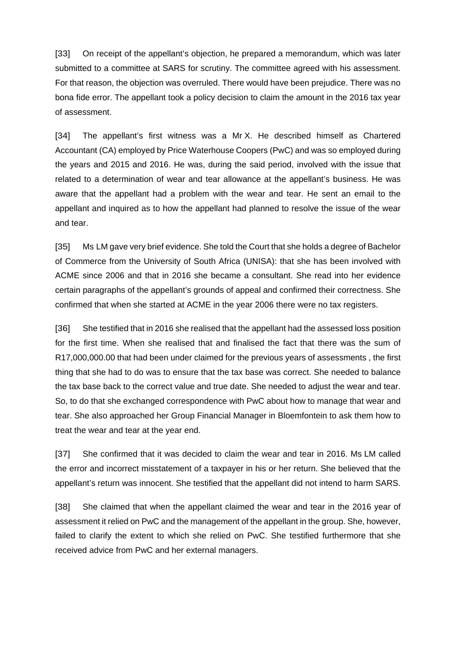[33] On receipt of the appellant's objection, he prepared a memorandum, which was later submitted to a committee at SARS for scrutiny. The committee agreed with his assessment. For that reason, the objection was overruled. There would have been prejudice. There was no bona fide error. The appellant took a policy decision to claim the amount in the 2016 tax year of assessment.

[34] The appellant's first witness was a Mr X. He described himself as Chartered Accountant (CA) employed by Price Waterhouse Coopers (PwC) and was so employed during the years and 2015 and 2016. He was, during the said period, involved with the issue that related to a determination of wear and tear allowance at the appellant's business. He was aware that the appellant had a problem with the wear and tear. He sent an email to the appellant and inquired as to how the appellant had planned to resolve the issue of the wear and tear.

[35] Ms LM gave very brief evidence. She told the Court that she holds a degree of Bachelor of Commerce from the University of South Africa (UNISA): that she has been involved with ACME since 2006 and that in 2016 she became a consultant. She read into her evidence certain paragraphs of the appellant's grounds of appeal and confirmed their correctness. She confirmed that when she started at ACME in the year 2006 there were no tax registers.

[36] She testified that in 2016 she realised that the appellant had the assessed loss position for the first time. When she realised that and finalised the fact that there was the sum of R17,000,000.00 that had been under claimed for the previous years of assessments , the first thing that she had to do was to ensure that the tax base was correct. She needed to balance the tax base back to the correct value and true date. She needed to adjust the wear and tear. So, to do that she exchanged correspondence with PwC about how to manage that wear and tear. She also approached her Group Financial Manager in Bloemfontein to ask them how to treat the wear and tear at the year end.

[37] She confirmed that it was decided to claim the wear and tear in 2016. Ms LM called the error and incorrect misstatement of a taxpayer in his or her return. She believed that the appellant's return was innocent. She testified that the appellant did not intend to harm SARS.

[38] She claimed that when the appellant claimed the wear and tear in the 2016 year of assessment it relied on PwC and the management of the appellant in the group. She, however, failed to clarify the extent to which she relied on PwC. She testified furthermore that she received advice from PwC and her external managers.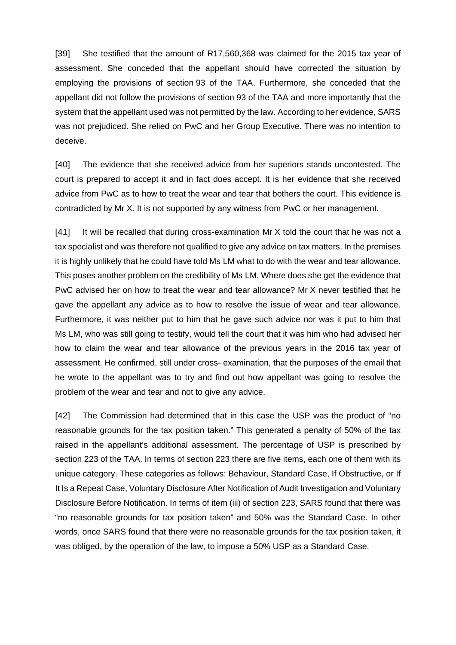[39] She testified that the amount of R17,560,368 was claimed for the 2015 tax year of assessment. She conceded that the appellant should have corrected the situation by employing the provisions of section 93 of the TAA. Furthermore, she conceded that the appellant did not follow the provisions of section 93 of the TAA and more importantly that the system that the appellant used was not permitted by the law. According to her evidence, SARS was not prejudiced. She relied on PwC and her Group Executive. There was no intention to deceive.

[40] The evidence that she received advice from her superiors stands uncontested. The court is prepared to accept it and in fact does accept. It is her evidence that she received advice from PwC as to how to treat the wear and tear that bothers the court. This evidence is contradicted by Mr X. It is not supported by any witness from PwC or her management.

[41] It will be recalled that during cross-examination Mr X told the court that he was not a tax specialist and was therefore not qualified to give any advice on tax matters. In the premises it is highly unlikely that he could have told Ms LM what to do with the wear and tear allowance. This poses another problem on the credibility of Ms LM. Where does she get the evidence that PwC advised her on how to treat the wear and tear allowance? Mr X never testified that he gave the appellant any advice as to how to resolve the issue of wear and tear allowance. Furthermore, it was neither put to him that he gave such advice nor was it put to him that Ms LM, who was still going to testify, would tell the court that it was him who had advised her how to claim the wear and tear allowance of the previous years in the 2016 tax year of assessment. He confirmed, still under cross- examination, that the purposes of the email that he wrote to the appellant was to try and find out how appellant was going to resolve the problem of the wear and tear and not to give any advice.

[42] The Commission had determined that in this case the USP was the product of "no reasonable grounds for the tax position taken." This generated a penalty of 50% of the tax raised in the appellant's additional assessment. The percentage of USP is prescribed by section 223 of the TAA. In terms of section 223 there are five items, each one of them with its unique category. These categories as follows: Behaviour, Standard Case, If Obstructive, or If It Is a Repeat Case, Voluntary Disclosure After Notification of Audit Investigation and Voluntary Disclosure Before Notification. In terms of item (iii) of section 223, SARS found that there was "no reasonable grounds for tax position taken" and 50% was the Standard Case. In other words, once SARS found that there were no reasonable grounds for the tax position taken, it was obliged, by the operation of the law, to impose a 50% USP as a Standard Case.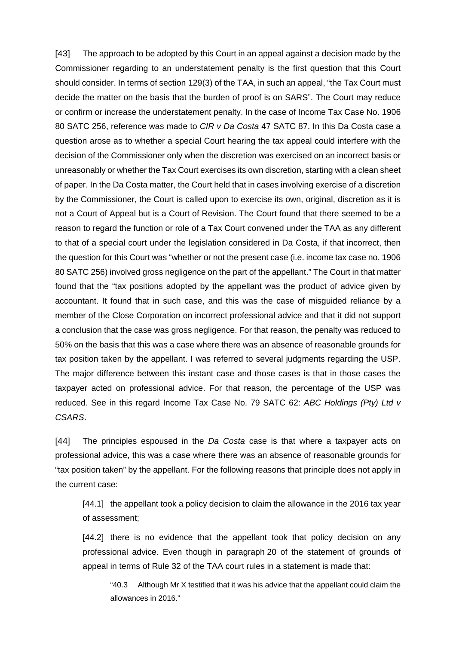[43] The approach to be adopted by this Court in an appeal against a decision made by the Commissioner regarding to an understatement penalty is the first question that this Court should consider. In terms of section 129(3) of the TAA, in such an appeal, "the Tax Court must decide the matter on the basis that the burden of proof is on SARS". The Court may reduce or confirm or increase the understatement penalty. In the case of Income Tax Case No. 1906 80 SATC 256, reference was made to *CIR v Da Costa* 47 SATC 87. In this Da Costa case a question arose as to whether a special Court hearing the tax appeal could interfere with the decision of the Commissioner only when the discretion was exercised on an incorrect basis or unreasonably or whether the Tax Court exercises its own discretion, starting with a clean sheet of paper. In the Da Costa matter, the Court held that in cases involving exercise of a discretion by the Commissioner, the Court is called upon to exercise its own, original, discretion as it is not a Court of Appeal but is a Court of Revision. The Court found that there seemed to be a reason to regard the function or role of a Tax Court convened under the TAA as any different to that of a special court under the legislation considered in Da Costa, if that incorrect, then the question for this Court was "whether or not the present case (i.e. income tax case no. 1906 80 SATC 256) involved gross negligence on the part of the appellant." The Court in that matter found that the "tax positions adopted by the appellant was the product of advice given by accountant. It found that in such case, and this was the case of misguided reliance by a member of the Close Corporation on incorrect professional advice and that it did not support a conclusion that the case was gross negligence. For that reason, the penalty was reduced to 50% on the basis that this was a case where there was an absence of reasonable grounds for tax position taken by the appellant. I was referred to several judgments regarding the USP. The major difference between this instant case and those cases is that in those cases the taxpayer acted on professional advice. For that reason, the percentage of the USP was reduced. See in this regard Income Tax Case No. 79 SATC 62: *ABC Holdings (Pty) Ltd v CSARS*.

[44] The principles espoused in the *Da Costa* case is that where a taxpayer acts on professional advice, this was a case where there was an absence of reasonable grounds for "tax position taken" by the appellant. For the following reasons that principle does not apply in the current case:

[44.1] the appellant took a policy decision to claim the allowance in the 2016 tax year of assessment;

[44.2] there is no evidence that the appellant took that policy decision on any professional advice. Even though in paragraph 20 of the statement of grounds of appeal in terms of Rule 32 of the TAA court rules in a statement is made that:

"40.3 Although Mr X testified that it was his advice that the appellant could claim the allowances in 2016."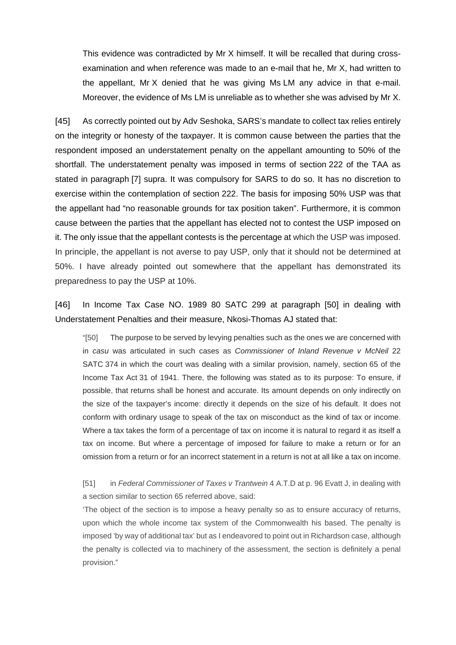This evidence was contradicted by Mr X himself. It will be recalled that during crossexamination and when reference was made to an e-mail that he, Mr X, had written to the appellant, Mr X denied that he was giving Ms LM any advice in that e-mail. Moreover, the evidence of Ms LM is unreliable as to whether she was advised by Mr X.

[45] As correctly pointed out by Adv Seshoka, SARS's mandate to collect tax relies entirely on the integrity or honesty of the taxpayer. It is common cause between the parties that the respondent imposed an understatement penalty on the appellant amounting to 50% of the shortfall. The understatement penalty was imposed in terms of section 222 of the TAA as stated in paragraph [7] supra. It was compulsory for SARS to do so. It has no discretion to exercise within the contemplation of section 222. The basis for imposing 50% USP was that the appellant had "no reasonable grounds for tax position taken". Furthermore, it is common cause between the parties that the appellant has elected not to contest the USP imposed on it. The only issue that the appellant contests is the percentage at which the USP was imposed. In principle, the appellant is not averse to pay USP, only that it should not be determined at 50%. I have already pointed out somewhere that the appellant has demonstrated its preparedness to pay the USP at 10%.

[46] In Income Tax Case NO. 1989 80 SATC 299 at paragraph [50] in dealing with Understatement Penalties and their measure, Nkosi-Thomas AJ stated that:

"[50] The purpose to be served by levying penalties such as the ones we are concerned with in *casu* was articulated in such cases as *Commissioner of Inland Revenue v McNeil* 22 SATC 374 in which the court was dealing with a similar provision, namely, section 65 of the Income Tax Act 31 of 1941. There, the following was stated as to its purpose: To ensure, if possible, that returns shall be honest and accurate. Its amount depends on only indirectly on the size of the taxpayer's income: directly it depends on the size of his default. It does not conform with ordinary usage to speak of the tax on misconduct as the kind of tax or income. Where a tax takes the form of a percentage of tax on income it is natural to regard it as itself a tax on income. But where a percentage of imposed for failure to make a return or for an omission from a return or for an incorrect statement in a return is not at all like a tax on income.

[51] in *Federal Commissioner of Taxes v Trantwein* 4 A.T.D at p. 96 Evatt J, in dealing with a section similar to section 65 referred above, said:

'The object of the section is to impose a heavy penalty so as to ensure accuracy of returns, upon which the whole income tax system of the Commonwealth his based. The penalty is imposed 'by way of additional tax' but as I endeavored to point out in Richardson case, although the penalty is collected via to machinery of the assessment, the section is definitely a penal provision."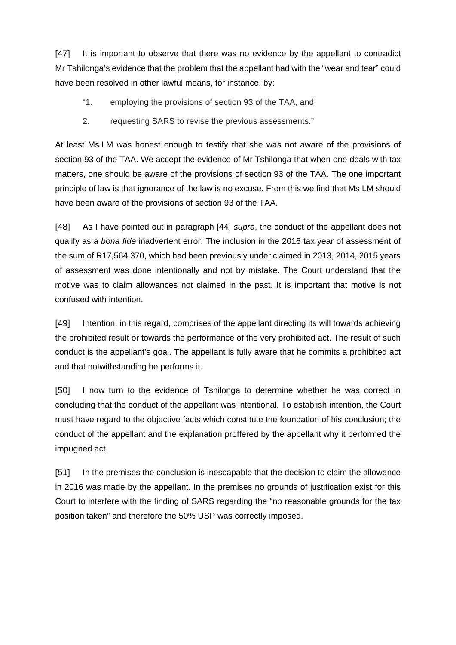[47] It is important to observe that there was no evidence by the appellant to contradict Mr Tshilonga's evidence that the problem that the appellant had with the "wear and tear" could have been resolved in other lawful means, for instance, by:

- "1. employing the provisions of section 93 of the TAA, and;
- 2. requesting SARS to revise the previous assessments."

At least Ms LM was honest enough to testify that she was not aware of the provisions of section 93 of the TAA. We accept the evidence of Mr Tshilonga that when one deals with tax matters, one should be aware of the provisions of section 93 of the TAA. The one important principle of law is that ignorance of the law is no excuse. From this we find that Ms LM should have been aware of the provisions of section 93 of the TAA.

[48] As I have pointed out in paragraph [44] *supra*, the conduct of the appellant does not qualify as a *bona fide* inadvertent error. The inclusion in the 2016 tax year of assessment of the sum of R17,564,370, which had been previously under claimed in 2013, 2014, 2015 years of assessment was done intentionally and not by mistake. The Court understand that the motive was to claim allowances not claimed in the past. It is important that motive is not confused with intention.

[49] Intention, in this regard, comprises of the appellant directing its will towards achieving the prohibited result or towards the performance of the very prohibited act. The result of such conduct is the appellant's goal. The appellant is fully aware that he commits a prohibited act and that notwithstanding he performs it.

[50] I now turn to the evidence of Tshilonga to determine whether he was correct in concluding that the conduct of the appellant was intentional. To establish intention, the Court must have regard to the objective facts which constitute the foundation of his conclusion; the conduct of the appellant and the explanation proffered by the appellant why it performed the impugned act.

[51] In the premises the conclusion is inescapable that the decision to claim the allowance in 2016 was made by the appellant. In the premises no grounds of justification exist for this Court to interfere with the finding of SARS regarding the "no reasonable grounds for the tax position taken" and therefore the 50% USP was correctly imposed.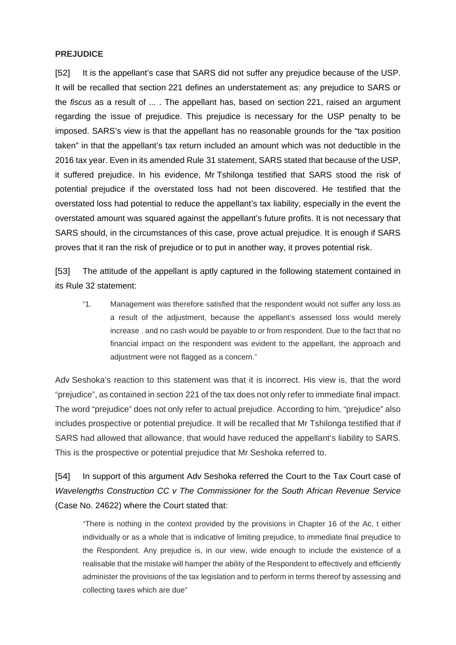#### **PREJUDICE**

[52] It is the appellant's case that SARS did not suffer any prejudice because of the USP. It will be recalled that section 221 defines an understatement as: any prejudice to SARS or the *fiscus* as a result of ... . The appellant has, based on section 221, raised an argument regarding the issue of prejudice. This prejudice is necessary for the USP penalty to be imposed. SARS's view is that the appellant has no reasonable grounds for the "tax position taken" in that the appellant's tax return included an amount which was not deductible in the 2016 tax year. Even in its amended Rule 31 statement, SARS stated that because of the USP, it suffered prejudice. In his evidence, Mr Tshilonga testified that SARS stood the risk of potential prejudice if the overstated loss had not been discovered. He testified that the overstated loss had potential to reduce the appellant's tax liability, especially in the event the overstated amount was squared against the appellant's future profits. It is not necessary that SARS should, in the circumstances of this case, prove actual prejudice. It is enough if SARS proves that it ran the risk of prejudice or to put in another way, it proves potential risk.

[53] The attitude of the appellant is aptly captured in the following statement contained in its Rule 32 statement:

"1. Management was therefore satisfied that the respondent would not suffer any loss as a result of the adjustment, because the appellant's assessed loss would merely increase , and no cash would be payable to or from respondent. Due to the fact that no financial impact on the respondent was evident to the appellant, the approach and adiustment were not flagged as a concern."

Adv Seshoka's reaction to this statement was that it is incorrect. His view is, that the word "prejudice", as contained in section 221 of the tax does not only refer to immediate final impact. The word "prejudice" does not only refer to actual prejudice. According to him, "prejudice" also includes prospective or potential prejudice. It will be recalled that Mr Tshilonga testified that if SARS had allowed that allowance, that would have reduced the appellant's liability to SARS. This is the prospective or potential prejudice that Mr Seshoka referred to.

[54] In support of this argument Adv Seshoka referred the Court to the Tax Court case of *Wavelengths Construction CC v The Commissioner for the South African Revenue Service* (Case No. 24622) where the Court stated that:

"There is nothing in the context provided by the provisions in Chapter 16 of the Ac, t either individually or as a whole that is indicative of limiting prejudice, to immediate final prejudice to the Respondent. Any prejudice is, in our view, wide enough to include the existence of a realisable that the mistake will hamper the ability of the Respondent to effectively and efficiently administer the provisions of the tax legislation and to perform in terms thereof by assessing and collecting taxes which are due"